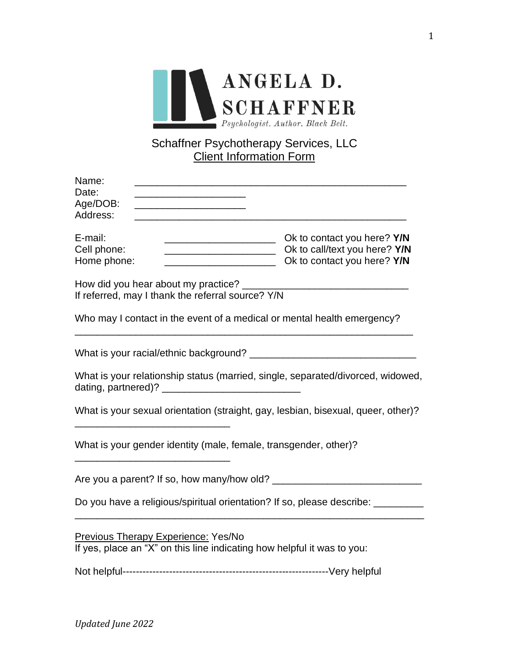

### Schaffner Psychotherapy Services, LLC Client Information Form

| Name:<br>Date:<br>Age/DOB:<br>the control of the control of the control of the control of the control of<br>Address:  |                                                                                             |  |
|-----------------------------------------------------------------------------------------------------------------------|---------------------------------------------------------------------------------------------|--|
| E-mail:<br>Cell phone:<br>Home phone:<br><u> 1989 - Johann Barn, mars ann an t-Amhair an t-A</u>                      | Ok to contact you here? Y/N<br>Dk to call/text you here? Y/N<br>Ok to contact you here? Y/N |  |
| How did you hear about my practice?<br>If referred, may I thank the referral source? Y/N                              |                                                                                             |  |
|                                                                                                                       | Who may I contact in the event of a medical or mental health emergency?                     |  |
|                                                                                                                       |                                                                                             |  |
| dating, partnered)?                                                                                                   | What is your relationship status (married, single, separated/divorced, widowed,             |  |
|                                                                                                                       | What is your sexual orientation (straight, gay, lesbian, bisexual, queer, other)?           |  |
| What is your gender identity (male, female, transgender, other)?                                                      |                                                                                             |  |
|                                                                                                                       |                                                                                             |  |
| Do you have a religious/spiritual orientation? If so, please describe: _________                                      |                                                                                             |  |
| <b>Previous Therapy Experience: Yes/No</b><br>If yes, place an "X" on this line indicating how helpful it was to you: |                                                                                             |  |
|                                                                                                                       |                                                                                             |  |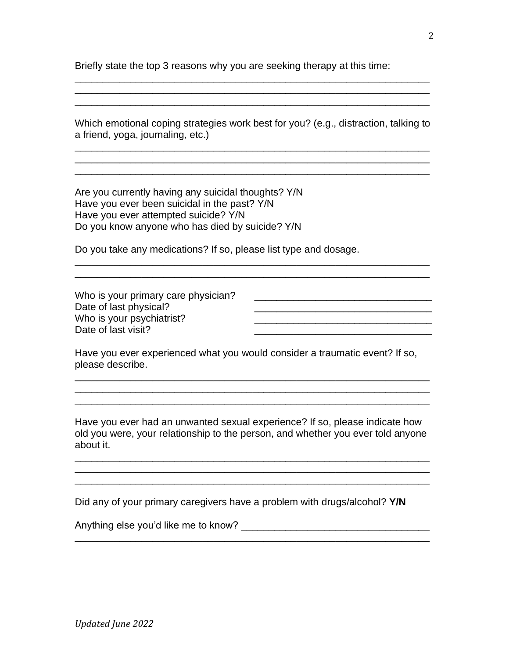Briefly state the top 3 reasons why you are seeking therapy at this time:

\_\_\_\_\_\_\_\_\_\_\_\_\_\_\_\_\_\_\_\_\_\_\_\_\_\_\_\_\_\_\_\_\_\_\_\_\_\_\_\_\_\_\_\_\_\_\_\_\_\_\_\_\_\_\_\_\_\_\_\_\_\_\_\_

| a friend, yoga, journaling, etc.)                                                                                                                                                              | Which emotional coping strategies work best for you? (e.g., distraction, talking to |
|------------------------------------------------------------------------------------------------------------------------------------------------------------------------------------------------|-------------------------------------------------------------------------------------|
| Are you currently having any suicidal thoughts? Y/N<br>Have you ever been suicidal in the past? Y/N<br>Have you ever attempted suicide? Y/N<br>Do you know anyone who has died by suicide? Y/N |                                                                                     |
| Do you take any medications? If so, please list type and dosage.                                                                                                                               |                                                                                     |
| Who is your primary care physician?<br>Date of last physical?<br>Who is your psychiatrist?<br>Date of last visit?                                                                              |                                                                                     |
| please describe.                                                                                                                                                                               | Have you ever experienced what you would consider a traumatic event? If so,         |

Did any of your primary caregivers have a problem with drugs/alcohol? **Y/N**

\_\_\_\_\_\_\_\_\_\_\_\_\_\_\_\_\_\_\_\_\_\_\_\_\_\_\_\_\_\_\_\_\_\_\_\_\_\_\_\_\_\_\_\_\_\_\_\_\_\_\_\_\_\_\_\_\_\_\_\_\_\_\_\_

\_\_\_\_\_\_\_\_\_\_\_\_\_\_\_\_\_\_\_\_\_\_\_\_\_\_\_\_\_\_\_\_\_\_\_\_\_\_\_\_\_\_\_\_\_\_\_\_\_\_\_\_\_\_\_\_\_\_\_\_\_\_\_\_

Anything else you'd like me to know? \_\_\_\_\_\_\_\_\_\_\_\_\_\_\_\_\_\_\_\_\_\_\_\_\_\_\_\_\_\_\_\_\_\_

about it.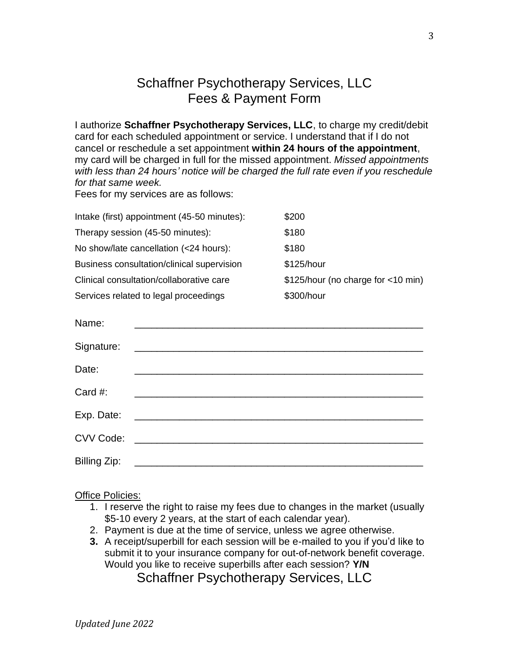# Schaffner Psychotherapy Services, LLC Fees & Payment Form

I authorize **Schaffner Psychotherapy Services, LLC**, to charge my credit/debit card for each scheduled appointment or service. I understand that if I do not cancel or reschedule a set appointment **within 24 hours of the appointment**, my card will be charged in full for the missed appointment. *Missed appointments with less than 24 hours' notice will be charged the full rate even if you reschedule for that same week.*

Fees for my services are as follows:

| Intake (first) appointment (45-50 minutes): | \$200                              |
|---------------------------------------------|------------------------------------|
| Therapy session (45-50 minutes):            | \$180                              |
| No show/late cancellation (<24 hours):      | \$180                              |
| Business consultation/clinical supervision  | \$125/hour                         |
| Clinical consultation/collaborative care    | \$125/hour (no charge for <10 min) |
| Services related to legal proceedings       | \$300/hour                         |

| Name:        |                                                                                                                      |
|--------------|----------------------------------------------------------------------------------------------------------------------|
| Signature:   |                                                                                                                      |
| Date:        |                                                                                                                      |
| Card #:      |                                                                                                                      |
| Exp. Date:   | <u> 1980 - Jan James James James James James James James James James James James James James James James James J</u> |
| CVV Code:    |                                                                                                                      |
| Billing Zip: |                                                                                                                      |

#### Office Policies:

- 1. I reserve the right to raise my fees due to changes in the market (usually \$5-10 every 2 years, at the start of each calendar year).
- 2. Payment is due at the time of service, unless we agree otherwise.
- **3.** A receipt/superbill for each session will be e-mailed to you if you'd like to submit it to your insurance company for out-of-network benefit coverage. Would you like to receive superbills after each session? **Y/N**

Schaffner Psychotherapy Services, LLC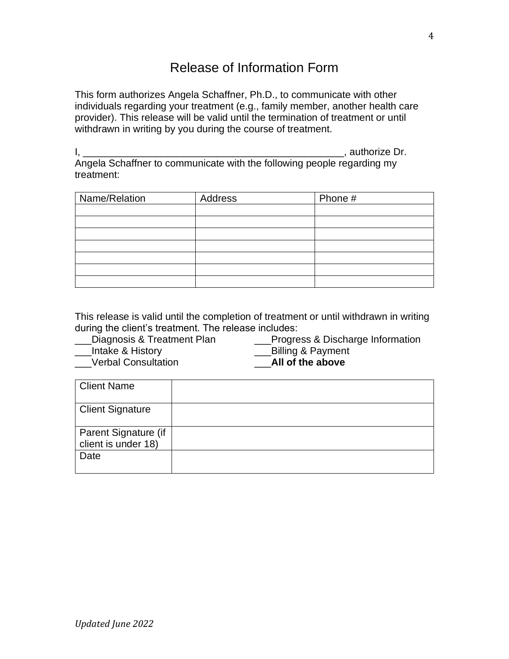## Release of Information Form

This form authorizes Angela Schaffner, Ph.D., to communicate with other individuals regarding your treatment (e.g., family member, another health care provider). This release will be valid until the termination of treatment or until withdrawn in writing by you during the course of treatment.

I, \_\_\_\_\_\_\_\_\_\_\_\_\_\_\_\_\_\_\_\_\_\_\_\_\_\_\_\_\_\_\_\_\_\_\_\_\_\_\_\_\_\_\_\_\_\_\_, authorize Dr. Angela Schaffner to communicate with the following people regarding my treatment:

| Name/Relation | Address | Phone # |
|---------------|---------|---------|
|               |         |         |
|               |         |         |
|               |         |         |
|               |         |         |
|               |         |         |
|               |         |         |
|               |         |         |

This release is valid until the completion of treatment or until withdrawn in writing during the client's treatment. The release includes:

Diagnosis & Treatment Plan **Progress & Discharge Information** 

\_\_\_Verbal Consultation \_\_\_**All of the above**

Intake & History **Example 2** Billing & Payment

Client Name Client Signature Parent Signature (if client is under 18) Date